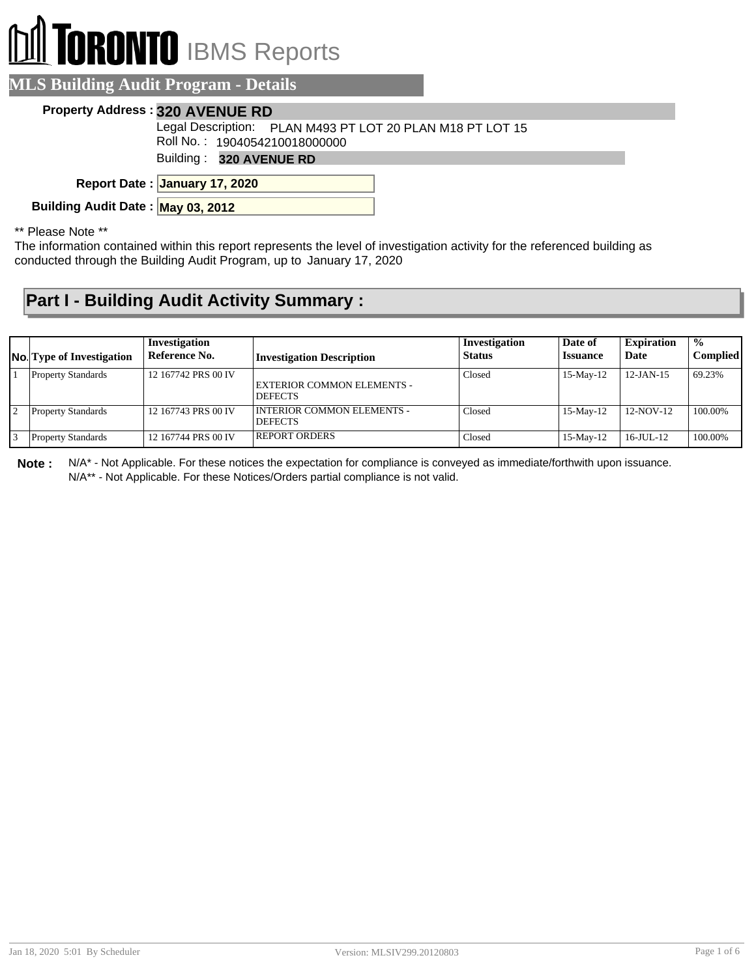# **RONTO** IBMS Reports

#### **MLS Building Audit Program - Details**

#### **Property Address : 320 AVENUE RD**

Legal Description: PLAN M493 PT LOT 20 PLAN M18 PT LOT 15

Roll No. : 1904054210018000000

Building : **320 AVENUE RD**

**January 17, 2020 Report Date :**

**Building Audit Date : May 03, 2012**

\*\* Please Note \*\*

The information contained within this report represents the level of investigation activity for the referenced building as conducted through the Building Audit Program, up to January 17, 2020

#### **Part I - Building Audit Activity Summary :**

| <b>No.</b> Type of Investigation | Investigation<br>Reference No. | <b>Investigation Description</b>                    | Investigation<br><b>Status</b> | Date of<br><i><u><b>Issuance</b></u></i> | <b>Expiration</b><br>Date | $^{\circ}$ %<br><b>Complied</b> |
|----------------------------------|--------------------------------|-----------------------------------------------------|--------------------------------|------------------------------------------|---------------------------|---------------------------------|
| <b>Property Standards</b>        | 12 167742 PRS 00 IV            | EXTERIOR COMMON ELEMENTS -<br><b>DEFECTS</b>        | Closed                         | $15$ -May- $12$                          | $12$ -JAN-15              | 69.23%                          |
| <b>Property Standards</b>        | 12 167743 PRS 00 IV            | <b>INTERIOR COMMON ELEMENTS -</b><br><b>DEFECTS</b> | Closed                         | 15-May-12                                | $12-NOV-12$               | 100.00%                         |
| <b>Property Standards</b>        | 12 167744 PRS 00 IV            | <b>REPORT ORDERS</b>                                | Closed                         | $15$ -May- $12$                          | $16$ -JUL- $12$           | 100.00%                         |

**Note :** N/A\* - Not Applicable. For these notices the expectation for compliance is conveyed as immediate/forthwith upon issuance. N/A\*\* - Not Applicable. For these Notices/Orders partial compliance is not valid.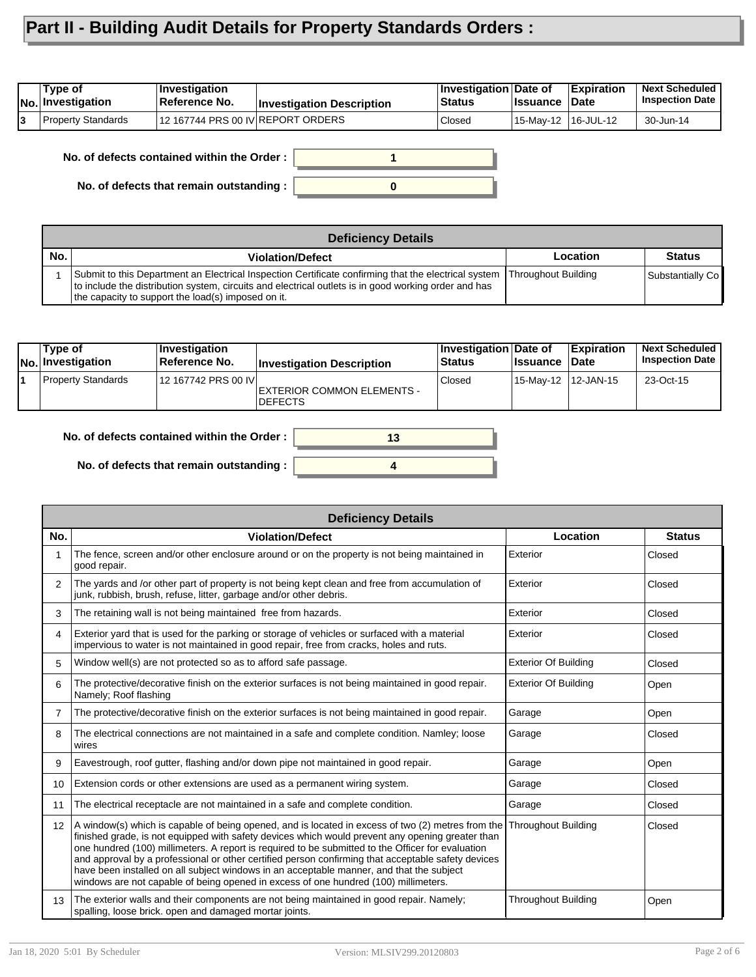### **Part II - Building Audit Details for Property Standards Orders :**

| Type of<br>∣No.∣Investigation | ∣Investiqation<br>Reference No.      | <b>Investigation Description</b> | Investigation Date of<br><b>Status</b> | llssuance           | ∣Expiration<br><b>∣Date</b> | <b>Next Scheduled</b><br><b>Inspection Date</b> |
|-------------------------------|--------------------------------------|----------------------------------|----------------------------------------|---------------------|-----------------------------|-------------------------------------------------|
| <b>Property Standards</b>     | $112$ 167744 PRS 00 IV REPORT ORDERS |                                  | Closed                                 | 15-May-12 16-JUL-12 |                             | 30-Jun-14                                       |

**1 No. of defects contained within the Order :**

**No. of defects that remain outstanding :**



|     | Deficiency Details                                                                                                                                                                                                                                                                      |          |                  |  |  |  |  |
|-----|-----------------------------------------------------------------------------------------------------------------------------------------------------------------------------------------------------------------------------------------------------------------------------------------|----------|------------------|--|--|--|--|
| No. | <b>Violation/Defect</b>                                                                                                                                                                                                                                                                 | Location | <b>Status</b>    |  |  |  |  |
|     | Submit to this Department an Electrical Inspection Certificate confirming that the electrical system  Throughout Building<br>to include the distribution system, circuits and electrical outlets is in good working order and has<br>the capacity to support the load(s) imposed on it. |          | Substantially Co |  |  |  |  |

| $\sf{Type\ of}$<br>No. Investigation | ∣Investiɑation<br>∣Reference No. | <b>Investigation Description</b>             | Investigation Date of<br><b>Status</b> | <b>lssuance</b>      | <b>Expiration</b><br><b>Date</b> | <b>Next Scheduled</b><br><b>Inspection Date</b> |
|--------------------------------------|----------------------------------|----------------------------------------------|----------------------------------------|----------------------|----------------------------------|-------------------------------------------------|
| <b>Property Standards</b>            | 12 167742 PRS 00 IV              | EXTERIOR COMMON ELEMENTS -<br><b>DEFECTS</b> | Closed                                 | 15-Mav-12 112-JAN-15 |                                  | 23-Oct-15                                       |

**4**

**13**

| No. of defects contained within the Order: |  |  |  |
|--------------------------------------------|--|--|--|
|--------------------------------------------|--|--|--|

**No. of defects that remain outstanding :**

|                   | <b>Deficiency Details</b>                                                                                                                                                                                                                                                                                                                                                                                                                                                                                                                                                                           |                             |               |  |  |  |  |  |
|-------------------|-----------------------------------------------------------------------------------------------------------------------------------------------------------------------------------------------------------------------------------------------------------------------------------------------------------------------------------------------------------------------------------------------------------------------------------------------------------------------------------------------------------------------------------------------------------------------------------------------------|-----------------------------|---------------|--|--|--|--|--|
| No.               | <b>Violation/Defect</b>                                                                                                                                                                                                                                                                                                                                                                                                                                                                                                                                                                             | Location                    | <b>Status</b> |  |  |  |  |  |
|                   | The fence, screen and/or other enclosure around or on the property is not being maintained in<br>good repair.                                                                                                                                                                                                                                                                                                                                                                                                                                                                                       | Exterior                    | Closed        |  |  |  |  |  |
| 2                 | The yards and /or other part of property is not being kept clean and free from accumulation of<br>junk, rubbish, brush, refuse, litter, garbage and/or other debris.                                                                                                                                                                                                                                                                                                                                                                                                                                | Exterior                    | Closed        |  |  |  |  |  |
| 3                 | The retaining wall is not being maintained free from hazards.                                                                                                                                                                                                                                                                                                                                                                                                                                                                                                                                       | Exterior                    | Closed        |  |  |  |  |  |
| 4                 | Exterior yard that is used for the parking or storage of vehicles or surfaced with a material<br>impervious to water is not maintained in good repair, free from cracks, holes and ruts.                                                                                                                                                                                                                                                                                                                                                                                                            | Exterior                    | Closed        |  |  |  |  |  |
| 5                 | Window well(s) are not protected so as to afford safe passage.                                                                                                                                                                                                                                                                                                                                                                                                                                                                                                                                      | <b>Exterior Of Building</b> | Closed        |  |  |  |  |  |
| 6                 | The protective/decorative finish on the exterior surfaces is not being maintained in good repair.<br>Namely; Roof flashing                                                                                                                                                                                                                                                                                                                                                                                                                                                                          | <b>Exterior Of Building</b> | Open          |  |  |  |  |  |
| $\overline{7}$    | The protective/decorative finish on the exterior surfaces is not being maintained in good repair.                                                                                                                                                                                                                                                                                                                                                                                                                                                                                                   | Garage                      | Open          |  |  |  |  |  |
| 8                 | The electrical connections are not maintained in a safe and complete condition. Namley; loose<br>wires                                                                                                                                                                                                                                                                                                                                                                                                                                                                                              | Garage                      | Closed        |  |  |  |  |  |
| 9                 | Eavestrough, roof gutter, flashing and/or down pipe not maintained in good repair.                                                                                                                                                                                                                                                                                                                                                                                                                                                                                                                  | Garage                      | Open          |  |  |  |  |  |
| 10 <sup>1</sup>   | Extension cords or other extensions are used as a permanent wiring system.                                                                                                                                                                                                                                                                                                                                                                                                                                                                                                                          | Garage                      | Closed        |  |  |  |  |  |
| 11                | The electrical receptacle are not maintained in a safe and complete condition.                                                                                                                                                                                                                                                                                                                                                                                                                                                                                                                      | Garage                      | Closed        |  |  |  |  |  |
| $12 \overline{ }$ | A window(s) which is capable of being opened, and is located in excess of two (2) metres from the<br>finished grade, is not equipped with safety devices which would prevent any opening greater than<br>one hundred (100) millimeters. A report is required to be submitted to the Officer for evaluation<br>and approval by a professional or other certified person confirming that acceptable safety devices<br>have been installed on all subject windows in an acceptable manner, and that the subject<br>windows are not capable of being opened in excess of one hundred (100) millimeters. | <b>Throughout Building</b>  | Closed        |  |  |  |  |  |
| 13                | The exterior walls and their components are not being maintained in good repair. Namely;<br>spalling, loose brick. open and damaged mortar joints.                                                                                                                                                                                                                                                                                                                                                                                                                                                  | <b>Throughout Building</b>  | Open          |  |  |  |  |  |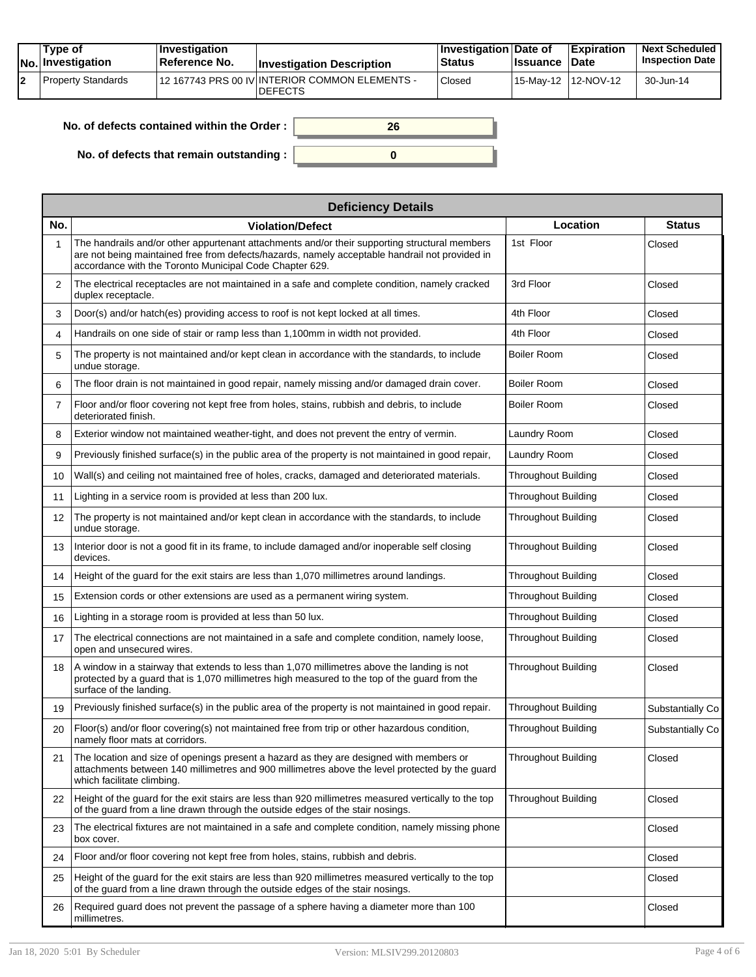|    | Type of<br>No. Investigation | <b>Investigation</b><br>⊺Reference No. | <b>Investigation Description</b>                                 | ∣Investigation Date of<br><b>Status</b> | <b>Issuance</b> | <b>Expiration</b><br><b>Date</b>  | <b>Next Scheduled</b><br><b>Inspection Date</b> |
|----|------------------------------|----------------------------------------|------------------------------------------------------------------|-----------------------------------------|-----------------|-----------------------------------|-------------------------------------------------|
| l2 | Property Standards           |                                        | 12 167743 PRS 00 IV INTERIOR COMMON ELEMENTS -<br><b>DEFECTS</b> | Closed                                  |                 | <sup>1</sup> 15-Mav-12 112-NOV-12 | 30-Jun-14                                       |

| No. of defects contained within the Order: |  |
|--------------------------------------------|--|
| No. of defects that remain outstanding :   |  |

|     | <b>Deficiency Details</b>                                                                                                                                                                                                                                  |                            |                  |  |  |  |  |  |
|-----|------------------------------------------------------------------------------------------------------------------------------------------------------------------------------------------------------------------------------------------------------------|----------------------------|------------------|--|--|--|--|--|
| No. | <b>Violation/Defect</b>                                                                                                                                                                                                                                    | Location                   | <b>Status</b>    |  |  |  |  |  |
| 1   | The handrails and/or other appurtenant attachments and/or their supporting structural members<br>are not being maintained free from defects/hazards, namely acceptable handrail not provided in<br>accordance with the Toronto Municipal Code Chapter 629. | 1st Floor                  | Closed           |  |  |  |  |  |
| 2   | The electrical receptacles are not maintained in a safe and complete condition, namely cracked<br>duplex receptacle.                                                                                                                                       | 3rd Floor                  | Closed           |  |  |  |  |  |
| 3   | Door(s) and/or hatch(es) providing access to roof is not kept locked at all times.                                                                                                                                                                         | 4th Floor                  | Closed           |  |  |  |  |  |
| 4   | Handrails on one side of stair or ramp less than 1,100mm in width not provided.                                                                                                                                                                            | 4th Floor                  | Closed           |  |  |  |  |  |
| 5   | The property is not maintained and/or kept clean in accordance with the standards, to include<br>undue storage.                                                                                                                                            | Boiler Room                | Closed           |  |  |  |  |  |
| 6   | The floor drain is not maintained in good repair, namely missing and/or damaged drain cover.                                                                                                                                                               | Boiler Room                | Closed           |  |  |  |  |  |
| 7   | Floor and/or floor covering not kept free from holes, stains, rubbish and debris, to include<br>deteriorated finish.                                                                                                                                       | <b>Boiler Room</b>         | Closed           |  |  |  |  |  |
| 8   | Exterior window not maintained weather-tight, and does not prevent the entry of vermin.                                                                                                                                                                    | Laundry Room               | Closed           |  |  |  |  |  |
| 9   | Previously finished surface(s) in the public area of the property is not maintained in good repair,                                                                                                                                                        | Laundry Room               | Closed           |  |  |  |  |  |
| 10  | Wall(s) and ceiling not maintained free of holes, cracks, damaged and deteriorated materials.                                                                                                                                                              | <b>Throughout Building</b> | Closed           |  |  |  |  |  |
| 11  | Lighting in a service room is provided at less than 200 lux.                                                                                                                                                                                               | Throughout Building        | Closed           |  |  |  |  |  |
| 12  | The property is not maintained and/or kept clean in accordance with the standards, to include<br>undue storage.                                                                                                                                            | <b>Throughout Building</b> | Closed           |  |  |  |  |  |
| 13  | Interior door is not a good fit in its frame, to include damaged and/or inoperable self closing<br>devices.                                                                                                                                                | <b>Throughout Building</b> | Closed           |  |  |  |  |  |
| 14  | Height of the guard for the exit stairs are less than 1,070 millimetres around landings.                                                                                                                                                                   | <b>Throughout Building</b> | Closed           |  |  |  |  |  |
| 15  | Extension cords or other extensions are used as a permanent wiring system.                                                                                                                                                                                 | <b>Throughout Building</b> | Closed           |  |  |  |  |  |
| 16  | Lighting in a storage room is provided at less than 50 lux.                                                                                                                                                                                                | <b>Throughout Building</b> | Closed           |  |  |  |  |  |
| 17  | The electrical connections are not maintained in a safe and complete condition, namely loose,<br>open and unsecured wires.                                                                                                                                 | <b>Throughout Building</b> | Closed           |  |  |  |  |  |
| 18  | A window in a stairway that extends to less than 1,070 millimetres above the landing is not<br>protected by a quard that is 1,070 millimetres high measured to the top of the quard from the<br>surface of the landing.                                    | <b>Throughout Building</b> | Closed           |  |  |  |  |  |
| 19  | Previously finished surface(s) in the public area of the property is not maintained in good repair.                                                                                                                                                        | <b>Throughout Building</b> | Substantially Co |  |  |  |  |  |
| 20  | Floor(s) and/or floor covering(s) not maintained free from trip or other hazardous condition,<br>namely floor mats at corridors.                                                                                                                           | <b>Throughout Building</b> | Substantially Co |  |  |  |  |  |
| 21  | The location and size of openings present a hazard as they are designed with members or<br>attachments between 140 millimetres and 900 millimetres above the level protected by the guard<br>which facilitate climbing.                                    | Throughout Building        | Closed           |  |  |  |  |  |
| 22  | Height of the guard for the exit stairs are less than 920 millimetres measured vertically to the top<br>of the guard from a line drawn through the outside edges of the stair nosings.                                                                     | <b>Throughout Building</b> | Closed           |  |  |  |  |  |
| 23  | The electrical fixtures are not maintained in a safe and complete condition, namely missing phone<br>box cover.                                                                                                                                            |                            | Closed           |  |  |  |  |  |
| 24  | Floor and/or floor covering not kept free from holes, stains, rubbish and debris.                                                                                                                                                                          |                            | Closed           |  |  |  |  |  |
| 25  | Height of the quard for the exit stairs are less than 920 millimetres measured vertically to the top<br>of the quard from a line drawn through the outside edges of the stair nosings.                                                                     |                            | Closed           |  |  |  |  |  |
| 26  | Required guard does not prevent the passage of a sphere having a diameter more than 100<br>millimetres.                                                                                                                                                    |                            | Closed           |  |  |  |  |  |